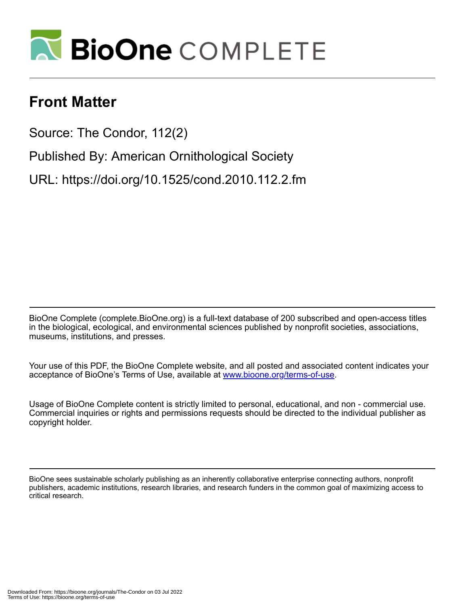

# **Front Matter**

Source: The Condor, 112(2)

Published By: American Ornithological Society

URL: https://doi.org/10.1525/cond.2010.112.2.fm

BioOne Complete (complete.BioOne.org) is a full-text database of 200 subscribed and open-access titles in the biological, ecological, and environmental sciences published by nonprofit societies, associations, museums, institutions, and presses.

Your use of this PDF, the BioOne Complete website, and all posted and associated content indicates your acceptance of BioOne's Terms of Use, available at www.bioone.org/terms-of-use.

Usage of BioOne Complete content is strictly limited to personal, educational, and non - commercial use. Commercial inquiries or rights and permissions requests should be directed to the individual publisher as copyright holder.

BioOne sees sustainable scholarly publishing as an inherently collaborative enterprise connecting authors, nonprofit publishers, academic institutions, research libraries, and research funders in the common goal of maximizing access to critical research.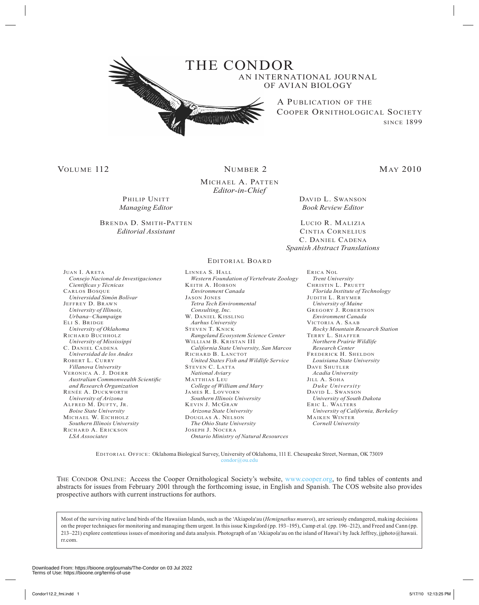

# VOLUME 112 NUMBER 2 MAY 2010

Michael A. Patten *Editor-in-Chief*

PHILIP UNITT *Managing Editor* 

### Brenda D. Smith-Patten *Editorial Assistant*

David L. Swanson *Book Review Editor*

Lucio R. Malizia Cintia Cornelius C. Daniel Cadena *Spanish Abstract Translations*

Editorial Board

Juan I. Areta  *Consejo Nacional de Investigaciones Científicas y Técnicas* Carlos Bosque  *Universidad Simón Bolívar* Jeffrey D. Brawn  *University of Illinois, Urbana–Champaign* Eli S. Bridge  *University of Oklahoma* Richard Buchholz  *University of Mississippi* C. Daniel Cadena  *Universidad de los Andes* Robert L. Curry  *Villanova University* Veronica A. J. Doerr  *Australian Commonwealth Scientific and Research Organization* Renée A. Duckworth  *University of Arizona* Alfred M. Dufty, Jr.  *Boise State University* Michael W. Eichholz  *Southern Illinois University* Richard A. Erickson  *LSA Associates*

Linnea S. Hall  *Western Foundation of Vertebrate Zoology* Keith A. Hobson  *Environment Canada* Jason Jones  *Tetra Tech Environmental Consulting, Inc.* W. DANIEL KISSLING  *Aarhus University* STEVEN T. KNICK  *Rangeland Ecosystem Science Center* William B. Kristan III  *California State University, San Marcos* RICHARD B. LANCTOT  *United States Fish and Wildlife Service* STEVEN C. LATTA  *National Aviary* Matthias Leu  *College of William and Mary* James R. Lovvorn  *Southern Illinois University* Kevin J. McGraw  *Arizona State University* Douglas A. Nelson  *The Ohio State University* Joseph J. Nocera  *Ontario Ministry of Natural Resources*

Erica Nol  *Trent University* CHRISTIN L. PRUETT  *Florida Institute of Technology* JUDITH L. RHYMER  *University of Maine* Gregory J. Robertson  *Environment Canada* Victoria A. Saab  *Rocky Mountain Research Station* Terry L. Shaffer  *Northern Prairie Wildlife Research Center* Frederick H. Sheldon  *Louisiana State University* Dave Shutler  *Acadia University* Jill A. Soha  *Duke University* David L. Swanson  *University of South Dakota* Eric L. Walters  *University of California, Berkeley* Maik en Winter  *Cornell University*

Editorial Office: Oklahoma Biological Survey, University of Oklahoma, 111 E. Chesapeake Street, Norman, OK 73019 [condor@ou.edu](mailto:condor@ou.edu)

THE CONDOR ONLINE: Access the Cooper Ornithological Society's website, [www.cooper.org,](http://www.cooper.org) to find tables of contents and abstracts for issues from February 2001 through the forthcoming issue, in English and Spanish. The COS website also provides prospective authors with current instructions for authors.

Most of the surviving native land birds of the Hawaiian Islands, such as the 'Akiapola'au (*Hemignathus munroi*), are seriously endangered, making decisions on the proper techniques for monitoring and managing them urgent. In this issue Kingsford (pp. 193–195), Camp et al. (pp. 196–212), and Freed and Cann (pp. 213–221) explore contentious issues of monitoring and data analysis. Photograph of an 'Akiapola'au on the island of Hawai'i by Jack Jeffrey, jjphoto@hawaii. rr.com.